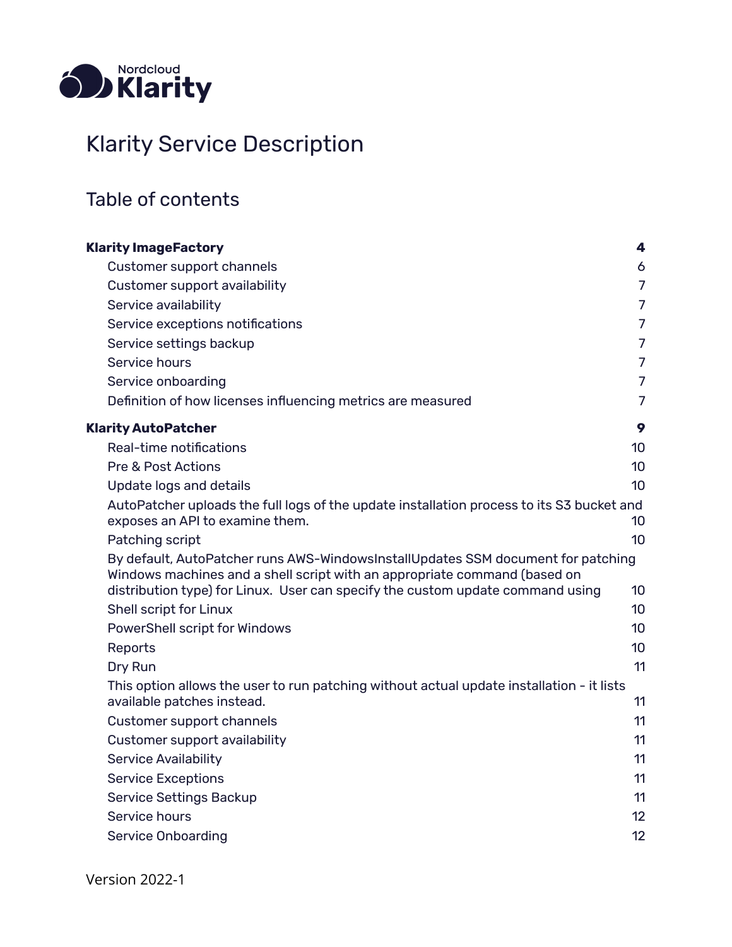

#### Klarity Service Description

#### Table of contents

| <b>Klarity ImageFactory</b>                                                                                                                                   | 4               |
|---------------------------------------------------------------------------------------------------------------------------------------------------------------|-----------------|
| Customer support channels                                                                                                                                     | 6               |
| Customer support availability                                                                                                                                 | $\overline{7}$  |
| Service availability                                                                                                                                          | $\overline{7}$  |
| Service exceptions notifications                                                                                                                              | $\overline{7}$  |
| Service settings backup                                                                                                                                       | $\overline{7}$  |
| Service hours                                                                                                                                                 | $\overline{7}$  |
| Service onboarding                                                                                                                                            | $\overline{7}$  |
| Definition of how licenses influencing metrics are measured                                                                                                   | $\overline{7}$  |
| <b>Klarity AutoPatcher</b>                                                                                                                                    | 9               |
| Real-time notifications                                                                                                                                       | 10 <sup>°</sup> |
| Pre & Post Actions                                                                                                                                            | 10 <sup>°</sup> |
| Update logs and details                                                                                                                                       | 10              |
| AutoPatcher uploads the full logs of the update installation process to its S3 bucket and<br>exposes an API to examine them.                                  | 10              |
| Patching script                                                                                                                                               | 10 <sup>1</sup> |
| By default, AutoPatcher runs AWS-WindowsInstallUpdates SSM document for patching<br>Windows machines and a shell script with an appropriate command (based on |                 |
| distribution type) for Linux. User can specify the custom update command using                                                                                | 10              |
| Shell script for Linux                                                                                                                                        | 10 <sup>°</sup> |
| PowerShell script for Windows                                                                                                                                 | 10 <sup>1</sup> |
| Reports                                                                                                                                                       | 10 <sup>1</sup> |
| Dry Run                                                                                                                                                       | 11              |
| This option allows the user to run patching without actual update installation - it lists<br>available patches instead.                                       | 11              |
| Customer support channels                                                                                                                                     | 11              |
| Customer support availability                                                                                                                                 | 11              |
| <b>Service Availability</b>                                                                                                                                   | 11              |
| <b>Service Exceptions</b>                                                                                                                                     | 11              |
| Service Settings Backup                                                                                                                                       | 11              |
| Service hours                                                                                                                                                 | 12              |
| <b>Service Onboarding</b>                                                                                                                                     | 12              |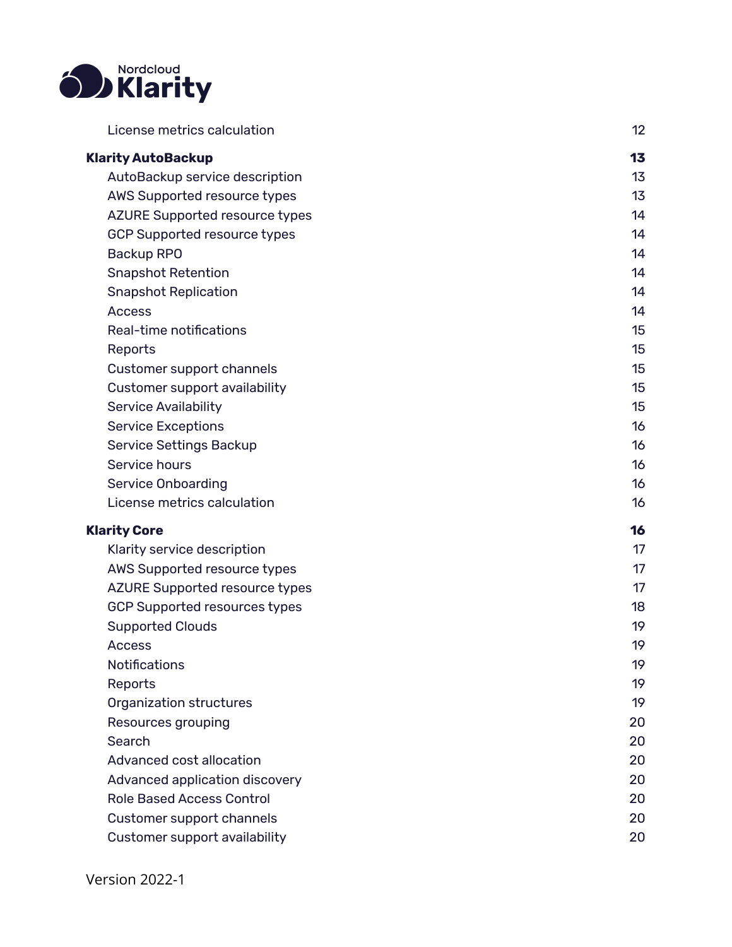

| License metrics calculation           | 12 |
|---------------------------------------|----|
| <b>Klarity AutoBackup</b>             | 13 |
| AutoBackup service description        | 13 |
| AWS Supported resource types          | 13 |
| <b>AZURE Supported resource types</b> | 14 |
| <b>GCP Supported resource types</b>   | 14 |
| <b>Backup RPO</b>                     | 14 |
| <b>Snapshot Retention</b>             | 14 |
| <b>Snapshot Replication</b>           | 14 |
| <b>Access</b>                         | 14 |
| Real-time notifications               | 15 |
| Reports                               | 15 |
| Customer support channels             | 15 |
| Customer support availability         | 15 |
| <b>Service Availability</b>           | 15 |
| <b>Service Exceptions</b>             | 16 |
| Service Settings Backup               | 16 |
| Service hours                         | 16 |
| <b>Service Onboarding</b>             | 16 |
| License metrics calculation           | 16 |
| <b>Klarity Core</b>                   | 16 |
| Klarity service description           | 17 |
| AWS Supported resource types          | 17 |
| <b>AZURE Supported resource types</b> | 17 |
| <b>GCP Supported resources types</b>  | 18 |
| <b>Supported Clouds</b>               | 19 |
| <b>Access</b>                         | 19 |
| <b>Notifications</b>                  | 19 |
| Reports                               | 19 |
| Organization structures               | 19 |
| Resources grouping                    | 20 |
| Search                                | 20 |
| Advanced cost allocation              | 20 |
| Advanced application discovery        | 20 |
| <b>Role Based Access Control</b>      | 20 |
| Customer support channels             | 20 |
| Customer support availability         | 20 |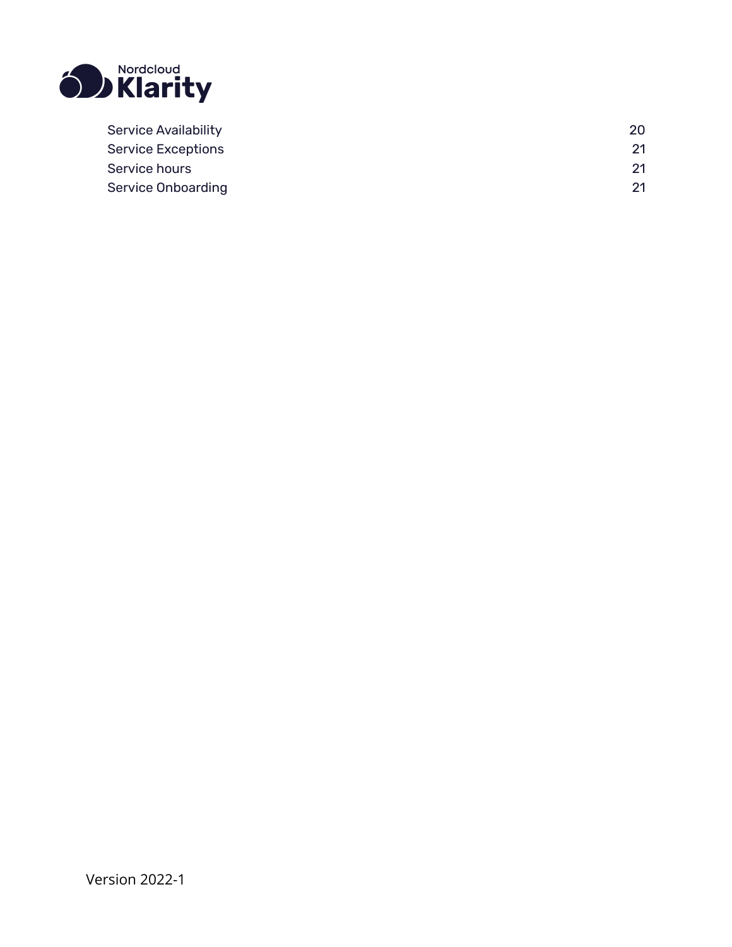

| <b>Service Availability</b> |    |
|-----------------------------|----|
| <b>Service Exceptions</b>   | 21 |
| Service hours               | 21 |
| <b>Service Onboarding</b>   | 21 |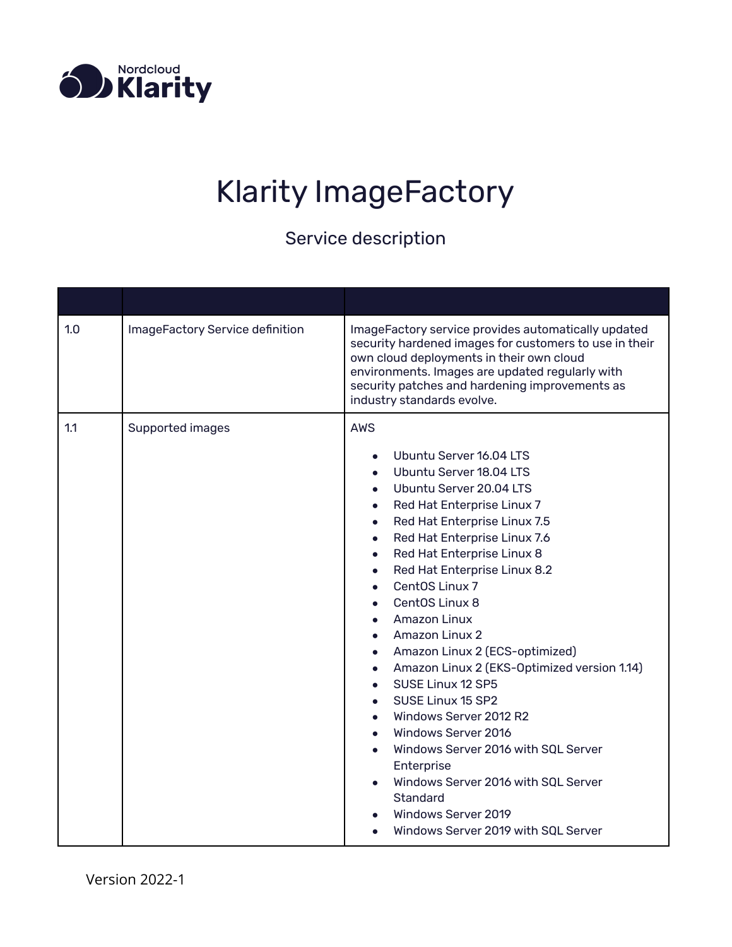<span id="page-3-0"></span>

# Klarity ImageFactory

| 1.0 | ImageFactory Service definition | ImageFactory service provides automatically updated<br>security hardened images for customers to use in their<br>own cloud deployments in their own cloud<br>environments. Images are updated regularly with<br>security patches and hardening improvements as<br>industry standards evolve.                                                                                                                                                                                                                                                                                                                                                                                                                                         |
|-----|---------------------------------|--------------------------------------------------------------------------------------------------------------------------------------------------------------------------------------------------------------------------------------------------------------------------------------------------------------------------------------------------------------------------------------------------------------------------------------------------------------------------------------------------------------------------------------------------------------------------------------------------------------------------------------------------------------------------------------------------------------------------------------|
| 1.1 | Supported images                | <b>AWS</b><br>Ubuntu Server 16.04 LTS<br>Ubuntu Server 18.04 LTS<br>Ubuntu Server 20.04 LTS<br>Red Hat Enterprise Linux 7<br>Red Hat Enterprise Linux 7.5<br>Red Hat Enterprise Linux 7.6<br>$\bullet$<br>Red Hat Enterprise Linux 8<br>$\bullet$<br>Red Hat Enterprise Linux 8.2<br>$\bullet$<br>CentOS Linux 7<br>CentOS Linux 8<br><b>Amazon Linux</b><br><b>Amazon Linux 2</b><br>Amazon Linux 2 (ECS-optimized)<br>Amazon Linux 2 (EKS-Optimized version 1.14)<br>SUSE Linux 12 SP5<br>SUSE Linux 15 SP2<br>Windows Server 2012 R2<br>Windows Server 2016<br>Windows Server 2016 with SQL Server<br>Enterprise<br>Windows Server 2016 with SQL Server<br>Standard<br>Windows Server 2019<br>Windows Server 2019 with SQL Server |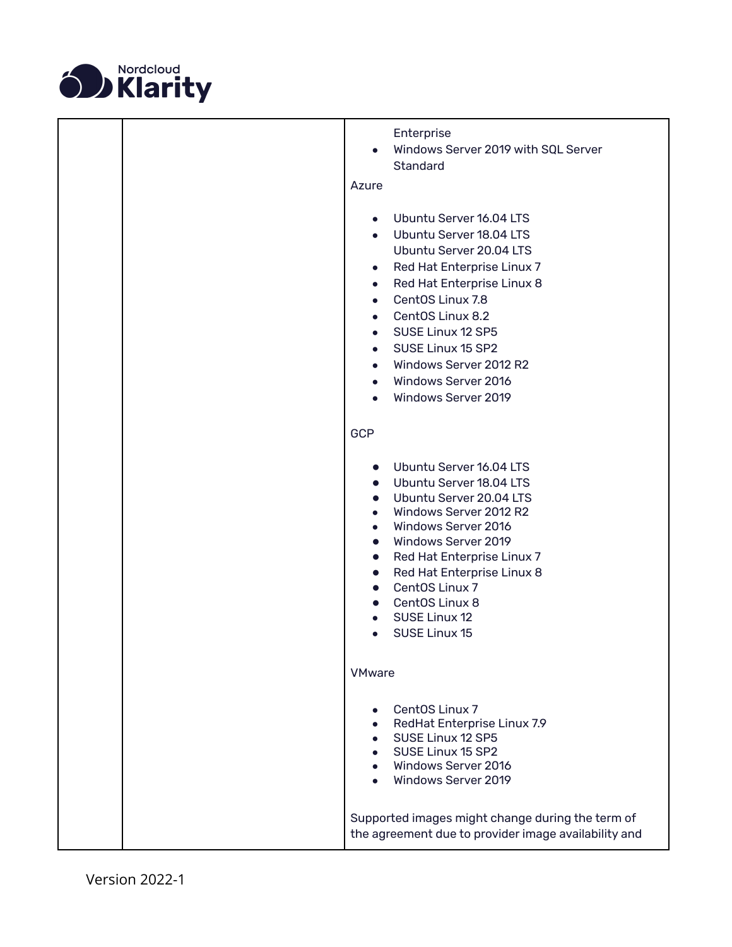

|  | Enterprise<br>Windows Server 2019 with SQL Server<br><b>Standard</b>                                                                                                                                                                                                                                                                                                                                                                   |
|--|----------------------------------------------------------------------------------------------------------------------------------------------------------------------------------------------------------------------------------------------------------------------------------------------------------------------------------------------------------------------------------------------------------------------------------------|
|  | Azure                                                                                                                                                                                                                                                                                                                                                                                                                                  |
|  | Ubuntu Server 16.04 LTS<br>$\bullet$<br>• Ubuntu Server 18.04 LTS<br>Ubuntu Server 20.04 LTS<br>Red Hat Enterprise Linux 7<br>$\bullet$<br>Red Hat Enterprise Linux 8<br>$\bullet$<br>CentOS Linux 7.8<br>$\bullet$<br>CentOS Linux 8.2<br>$\bullet$<br>SUSE Linux 12 SP5<br>$\bullet$<br>SUSE Linux 15 SP2<br>$\bullet$<br>Windows Server 2012 R2<br>Windows Server 2016<br>$\bullet$<br>Windows Server 2019<br>$\bullet$             |
|  |                                                                                                                                                                                                                                                                                                                                                                                                                                        |
|  | <b>GCP</b>                                                                                                                                                                                                                                                                                                                                                                                                                             |
|  | Ubuntu Server 16.04 LTS<br>Ubuntu Server 18.04 LTS<br>$\bullet$<br>Ubuntu Server 20.04 LTS<br>$\bullet$<br>Windows Server 2012 R2<br>$\bullet$<br>Windows Server 2016<br>$\bullet$<br>Windows Server 2019<br>$\bullet$<br>Red Hat Enterprise Linux 7<br>$\bullet$<br>Red Hat Enterprise Linux 8<br>$\bullet$<br>CentOS Linux 7<br>$\bullet$<br>CentOS Linux 8<br>$\bullet$<br>SUSE Linux 12<br>$\bullet$<br>SUSE Linux 15<br>$\bullet$ |
|  | <b>VMware</b>                                                                                                                                                                                                                                                                                                                                                                                                                          |
|  | CentOS Linux 7<br>RedHat Enterprise Linux 7.9<br>SUSE Linux 12 SP5<br>SUSE Linux 15 SP2<br>Windows Server 2016<br>Windows Server 2019                                                                                                                                                                                                                                                                                                  |
|  | Supported images might change during the term of<br>the agreement due to provider image availability and                                                                                                                                                                                                                                                                                                                               |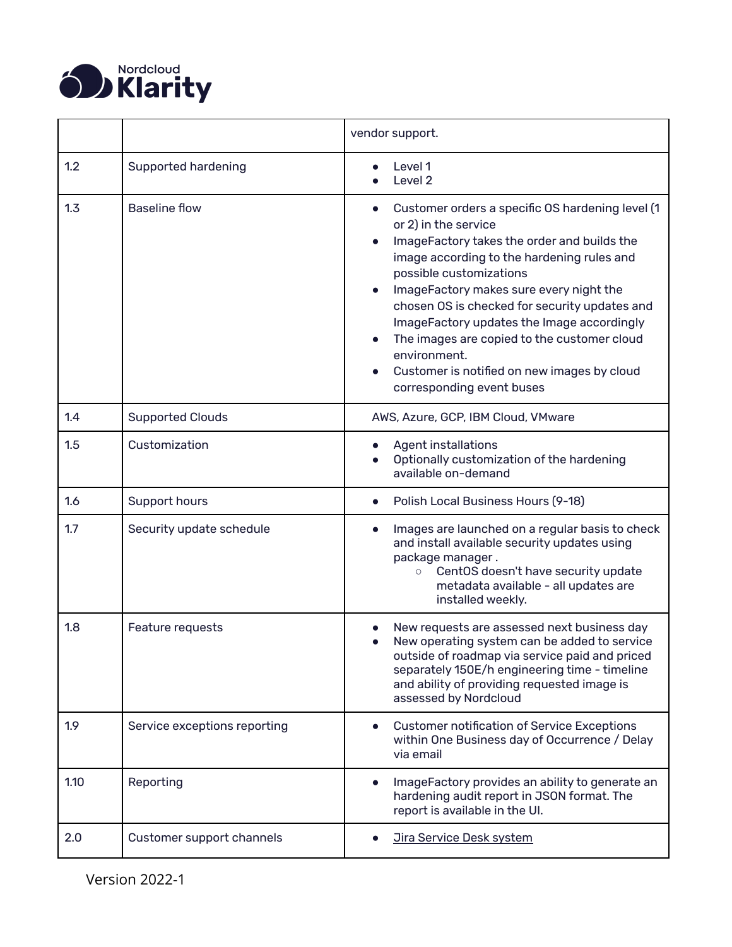

<span id="page-5-0"></span>

|      |                              | vendor support.                                                                                                                                                                                                                                                                                                                                                                                                                                                                                    |
|------|------------------------------|----------------------------------------------------------------------------------------------------------------------------------------------------------------------------------------------------------------------------------------------------------------------------------------------------------------------------------------------------------------------------------------------------------------------------------------------------------------------------------------------------|
| 1.2  | Supported hardening          | Level 1<br>Level 2                                                                                                                                                                                                                                                                                                                                                                                                                                                                                 |
| 1.3  | <b>Baseline flow</b>         | Customer orders a specific OS hardening level (1<br>$\bullet$<br>or 2) in the service<br>ImageFactory takes the order and builds the<br>image according to the hardening rules and<br>possible customizations<br>ImageFactory makes sure every night the<br>chosen OS is checked for security updates and<br>ImageFactory updates the Image accordingly<br>The images are copied to the customer cloud<br>environment.<br>Customer is notified on new images by cloud<br>corresponding event buses |
| 1.4  | <b>Supported Clouds</b>      | AWS, Azure, GCP, IBM Cloud, VMware                                                                                                                                                                                                                                                                                                                                                                                                                                                                 |
| 1.5  | Customization                | <b>Agent installations</b><br>Optionally customization of the hardening<br>available on-demand                                                                                                                                                                                                                                                                                                                                                                                                     |
| 1.6  | Support hours                | Polish Local Business Hours (9-18)<br>$\bullet$                                                                                                                                                                                                                                                                                                                                                                                                                                                    |
| 1.7  | Security update schedule     | Images are launched on a regular basis to check<br>$\bullet$<br>and install available security updates using<br>package manager.<br>CentOS doesn't have security update<br>$\circ$<br>metadata available - all updates are<br>installed weekly.                                                                                                                                                                                                                                                    |
| 1.8  | Feature requests             | New requests are assessed next business day<br>New operating system can be added to service<br>outside of roadmap via service paid and priced<br>separately 150E/h engineering time - timeline<br>and ability of providing requested image is<br>assessed by Nordcloud                                                                                                                                                                                                                             |
| 1.9  | Service exceptions reporting | <b>Customer notification of Service Exceptions</b><br>within One Business day of Occurrence / Delay<br>via email                                                                                                                                                                                                                                                                                                                                                                                   |
| 1.10 | Reporting                    | ImageFactory provides an ability to generate an<br>hardening audit report in JSON format. The<br>report is available in the UI.                                                                                                                                                                                                                                                                                                                                                                    |
| 2.0  | Customer support channels    | <b>Jira Service Desk system</b>                                                                                                                                                                                                                                                                                                                                                                                                                                                                    |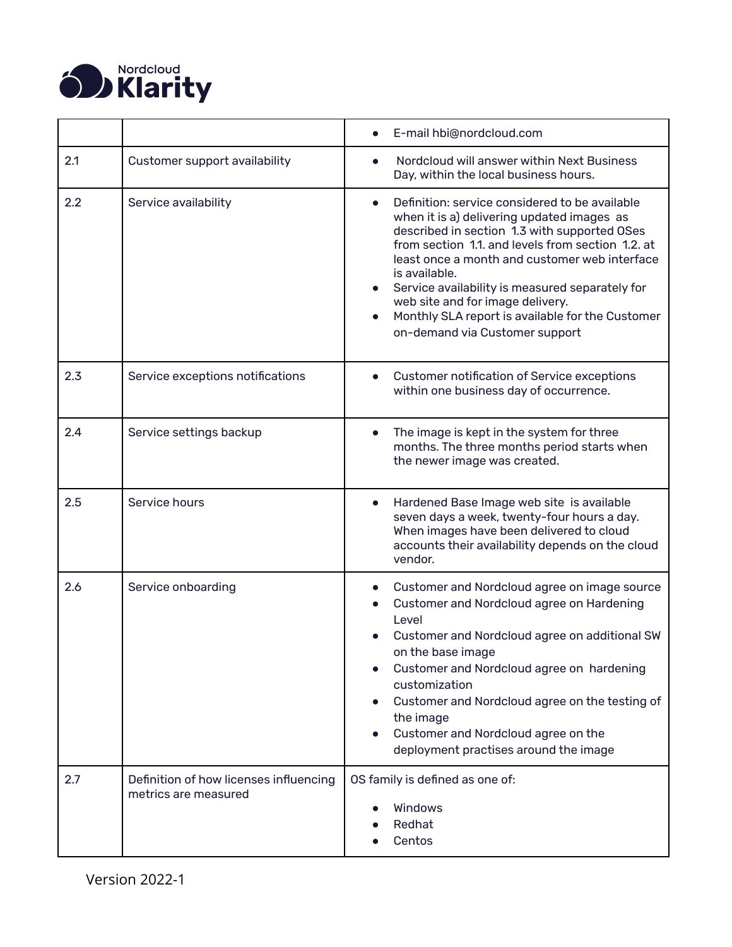

<span id="page-6-6"></span><span id="page-6-5"></span><span id="page-6-4"></span><span id="page-6-3"></span><span id="page-6-2"></span><span id="page-6-1"></span><span id="page-6-0"></span>

|     |                                                                | E-mail hbi@nordcloud.com                                                                                                                                                                                                                                                                                                                                                                                                                         |
|-----|----------------------------------------------------------------|--------------------------------------------------------------------------------------------------------------------------------------------------------------------------------------------------------------------------------------------------------------------------------------------------------------------------------------------------------------------------------------------------------------------------------------------------|
| 2.1 | Customer support availability                                  | Nordcloud will answer within Next Business<br>Day, within the local business hours.                                                                                                                                                                                                                                                                                                                                                              |
| 2.2 | Service availability                                           | Definition: service considered to be available<br>when it is a) delivering updated images as<br>described in section 1.3 with supported OSes<br>from section 1.1. and levels from section 1.2. at<br>least once a month and customer web interface<br>is available.<br>Service availability is measured separately for<br>web site and for image delivery.<br>Monthly SLA report is available for the Customer<br>on-demand via Customer support |
| 2.3 | Service exceptions notifications                               | <b>Customer notification of Service exceptions</b><br>$\bullet$<br>within one business day of occurrence.                                                                                                                                                                                                                                                                                                                                        |
| 2.4 | Service settings backup                                        | The image is kept in the system for three<br>months. The three months period starts when<br>the newer image was created.                                                                                                                                                                                                                                                                                                                         |
| 2.5 | Service hours                                                  | Hardened Base Image web site is available<br>$\bullet$<br>seven days a week, twenty-four hours a day.<br>When images have been delivered to cloud<br>accounts their availability depends on the cloud<br>vendor.                                                                                                                                                                                                                                 |
| 2.6 | Service onboarding                                             | Customer and Nordcloud agree on image source<br>Customer and Nordcloud agree on Hardening<br>Level<br>Customer and Nordcloud agree on additional SW<br>on the base image<br>Customer and Nordcloud agree on hardening<br>customization<br>Customer and Nordcloud agree on the testing of<br>$\bullet$<br>the image<br>Customer and Nordcloud agree on the<br>deployment practises around the image                                               |
| 2.7 | Definition of how licenses influencing<br>metrics are measured | OS family is defined as one of:<br>Windows<br>Redhat<br>Centos                                                                                                                                                                                                                                                                                                                                                                                   |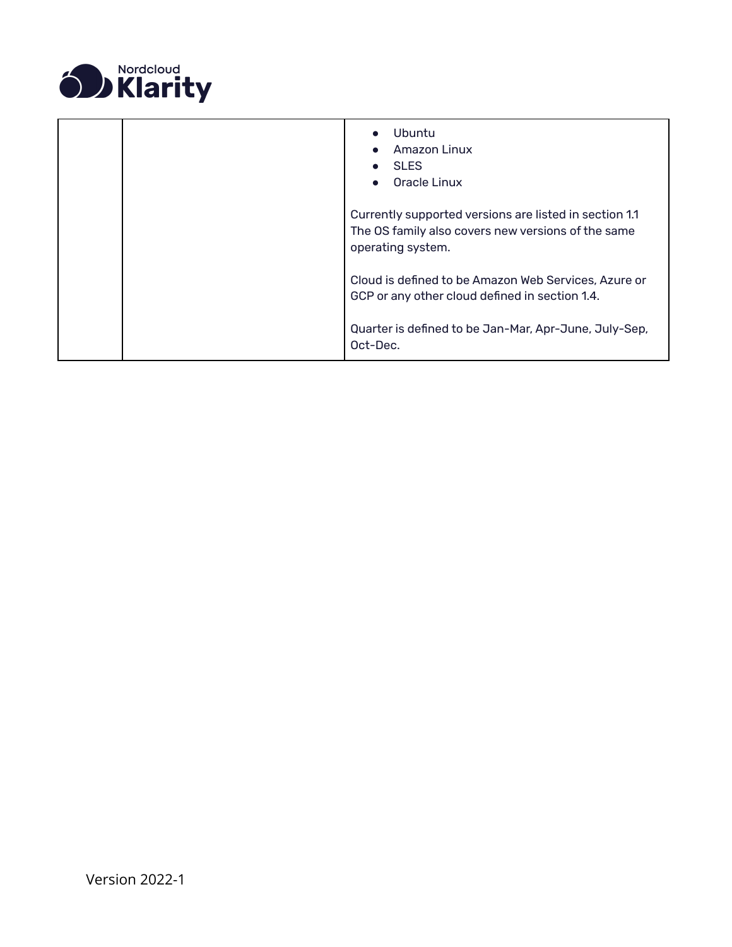

|  | Ubuntu<br>$\bullet$<br>Amazon Linux<br><b>SLES</b><br>Oracle Linux                                                                |
|--|-----------------------------------------------------------------------------------------------------------------------------------|
|  | Currently supported versions are listed in section 1.1<br>The OS family also covers new versions of the same<br>operating system. |
|  | Cloud is defined to be Amazon Web Services, Azure or<br>GCP or any other cloud defined in section 1.4.                            |
|  | Quarter is defined to be Jan-Mar, Apr-June, July-Sep,<br>Oct-Dec.                                                                 |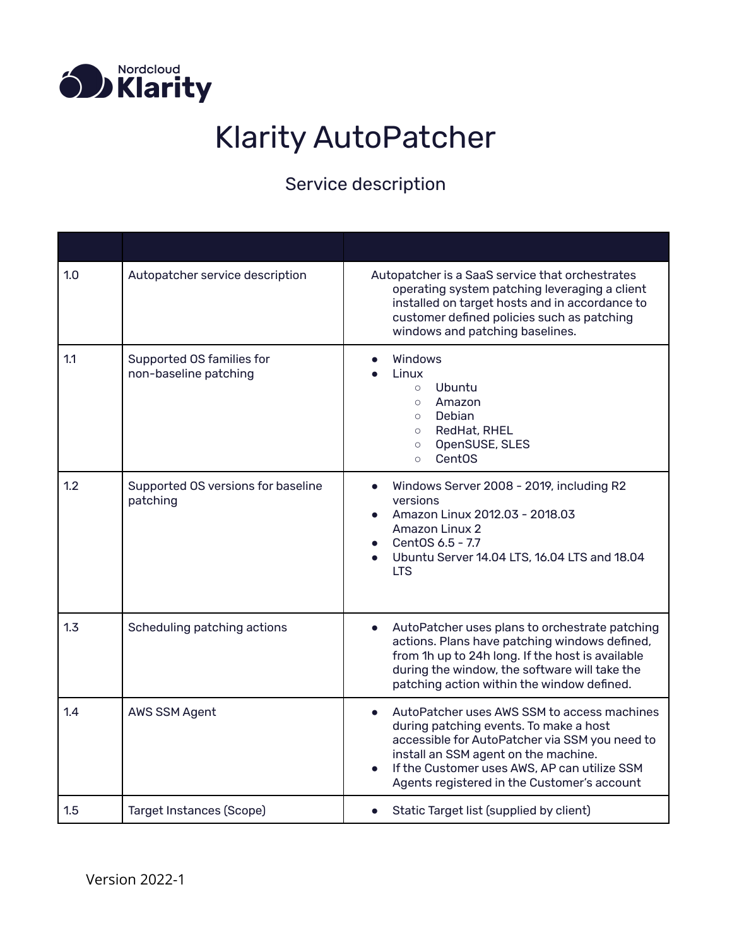<span id="page-8-0"></span>

## Klarity AutoPatcher

| 1.0 | Autopatcher service description                    | Autopatcher is a SaaS service that orchestrates<br>operating system patching leveraging a client<br>installed on target hosts and in accordance to<br>customer defined policies such as patching<br>windows and patching baselines.                                            |
|-----|----------------------------------------------------|--------------------------------------------------------------------------------------------------------------------------------------------------------------------------------------------------------------------------------------------------------------------------------|
| 1.1 | Supported OS families for<br>non-baseline patching | <b>Windows</b><br>Linux<br>Ubuntu<br>$\circ$<br>Amazon<br>$\circ$<br>Debian<br>$\circ$<br>RedHat, RHEL<br>$\circ$<br>OpenSUSE, SLES<br>$\circ$<br><b>CentOS</b><br>$\circ$                                                                                                     |
| 1.2 | Supported OS versions for baseline<br>patching     | Windows Server 2008 - 2019, including R2<br>versions<br>Amazon Linux 2012.03 - 2018.03<br><b>Amazon Linux 2</b><br>CentOS 6.5 - 7.7<br>Ubuntu Server 14.04 LTS, 16.04 LTS and 18.04<br><b>LTS</b>                                                                              |
| 1.3 | Scheduling patching actions                        | AutoPatcher uses plans to orchestrate patching<br>$\bullet$<br>actions. Plans have patching windows defined,<br>from 1h up to 24h long. If the host is available<br>during the window, the software will take the<br>patching action within the window defined.                |
| 1.4 | AWS SSM Agent                                      | AutoPatcher uses AWS SSM to access machines<br>during patching events. To make a host<br>accessible for AutoPatcher via SSM you need to<br>install an SSM agent on the machine.<br>If the Customer uses AWS, AP can utilize SSM<br>Agents registered in the Customer's account |
| 1.5 | Target Instances (Scope)                           | Static Target list (supplied by client)                                                                                                                                                                                                                                        |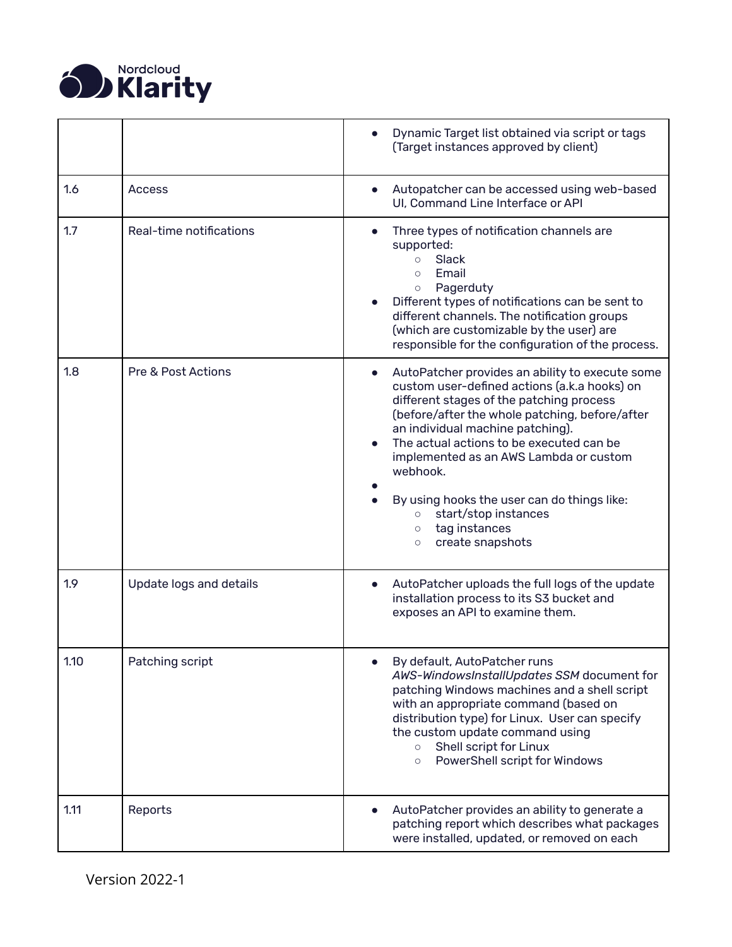

<span id="page-9-8"></span><span id="page-9-7"></span><span id="page-9-6"></span><span id="page-9-5"></span><span id="page-9-4"></span><span id="page-9-3"></span><span id="page-9-2"></span><span id="page-9-1"></span><span id="page-9-0"></span>

|      |                               | Dynamic Target list obtained via script or tags<br>(Target instances approved by client)                                                                                                                                                                                                                                                                                                                                                                                         |
|------|-------------------------------|----------------------------------------------------------------------------------------------------------------------------------------------------------------------------------------------------------------------------------------------------------------------------------------------------------------------------------------------------------------------------------------------------------------------------------------------------------------------------------|
| 1.6  | Access                        | Autopatcher can be accessed using web-based<br>UI. Command Line Interface or API                                                                                                                                                                                                                                                                                                                                                                                                 |
| 1.7  | Real-time notifications       | Three types of notification channels are<br>supported:<br>Slack<br>$\circ$<br>Email<br>$\circ$<br>Pagerduty<br>$\bigcirc$<br>Different types of notifications can be sent to<br>different channels. The notification groups<br>(which are customizable by the user) are<br>responsible for the configuration of the process.                                                                                                                                                     |
| 1.8  | <b>Pre &amp; Post Actions</b> | AutoPatcher provides an ability to execute some<br>custom user-defined actions (a.k.a hooks) on<br>different stages of the patching process<br>(before/after the whole patching, before/after<br>an individual machine patching).<br>The actual actions to be executed can be<br>implemented as an AWS Lambda or custom<br>webhook.<br>By using hooks the user can do things like:<br>start/stop instances<br>$\circ$<br>tag instances<br>$\circ$<br>create snapshots<br>$\circ$ |
| 1.9  | Update logs and details       | AutoPatcher uploads the full logs of the update<br>installation process to its S3 bucket and<br>exposes an API to examine them.                                                                                                                                                                                                                                                                                                                                                  |
| 1.10 | Patching script               | By default, AutoPatcher runs<br>AWS-WindowsInstallUpdates SSM document for<br>patching Windows machines and a shell script<br>with an appropriate command (based on<br>distribution type) for Linux. User can specify<br>the custom update command using<br>Shell script for Linux<br>$\circ$<br>PowerShell script for Windows<br>$\circ$                                                                                                                                        |
| 1.11 | Reports                       | AutoPatcher provides an ability to generate a<br>patching report which describes what packages<br>were installed, updated, or removed on each                                                                                                                                                                                                                                                                                                                                    |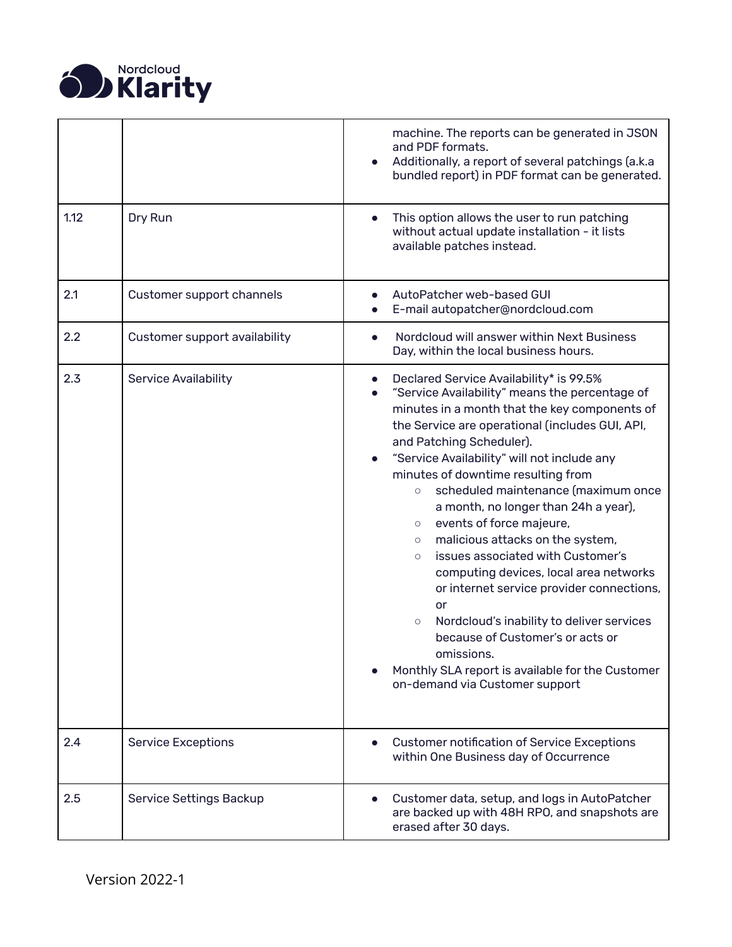

<span id="page-10-6"></span><span id="page-10-5"></span><span id="page-10-4"></span><span id="page-10-3"></span><span id="page-10-2"></span><span id="page-10-1"></span><span id="page-10-0"></span>

|      |                               | machine. The reports can be generated in JSON<br>and PDF formats.<br>Additionally, a report of several patchings (a.k.a<br>bundled report) in PDF format can be generated.                                                                                                                                                                                                                                                                                                                                                                                                                                                                                                                                                                                                                                                                  |
|------|-------------------------------|---------------------------------------------------------------------------------------------------------------------------------------------------------------------------------------------------------------------------------------------------------------------------------------------------------------------------------------------------------------------------------------------------------------------------------------------------------------------------------------------------------------------------------------------------------------------------------------------------------------------------------------------------------------------------------------------------------------------------------------------------------------------------------------------------------------------------------------------|
| 1.12 | Dry Run                       | This option allows the user to run patching<br>without actual update installation - it lists<br>available patches instead.                                                                                                                                                                                                                                                                                                                                                                                                                                                                                                                                                                                                                                                                                                                  |
| 2.1  | Customer support channels     | AutoPatcher web-based GUI<br>E-mail autopatcher@nordcloud.com                                                                                                                                                                                                                                                                                                                                                                                                                                                                                                                                                                                                                                                                                                                                                                               |
| 2.2  | Customer support availability | Nordcloud will answer within Next Business<br>Day, within the local business hours.                                                                                                                                                                                                                                                                                                                                                                                                                                                                                                                                                                                                                                                                                                                                                         |
| 2.3  | <b>Service Availability</b>   | Declared Service Availability* is 99.5%<br>"Service Availability" means the percentage of<br>minutes in a month that the key components of<br>the Service are operational (includes GUI, API,<br>and Patching Scheduler).<br>"Service Availability" will not include any<br>minutes of downtime resulting from<br>scheduled maintenance (maximum once<br>$\circ$<br>a month, no longer than 24h a year),<br>events of force majeure,<br>$\circ$<br>malicious attacks on the system,<br>$\circ$<br>issues associated with Customer's<br>$\circ$<br>computing devices, local area networks<br>or internet service provider connections,<br>or<br>Nordcloud's inability to deliver services<br>$\circ$<br>because of Customer's or acts or<br>omissions.<br>Monthly SLA report is available for the Customer<br>on-demand via Customer support |
| 2.4  | <b>Service Exceptions</b>     | <b>Customer notification of Service Exceptions</b><br>within One Business day of Occurrence                                                                                                                                                                                                                                                                                                                                                                                                                                                                                                                                                                                                                                                                                                                                                 |
| 2.5  | Service Settings Backup       | Customer data, setup, and logs in AutoPatcher<br>are backed up with 48H RPO, and snapshots are<br>erased after 30 days.                                                                                                                                                                                                                                                                                                                                                                                                                                                                                                                                                                                                                                                                                                                     |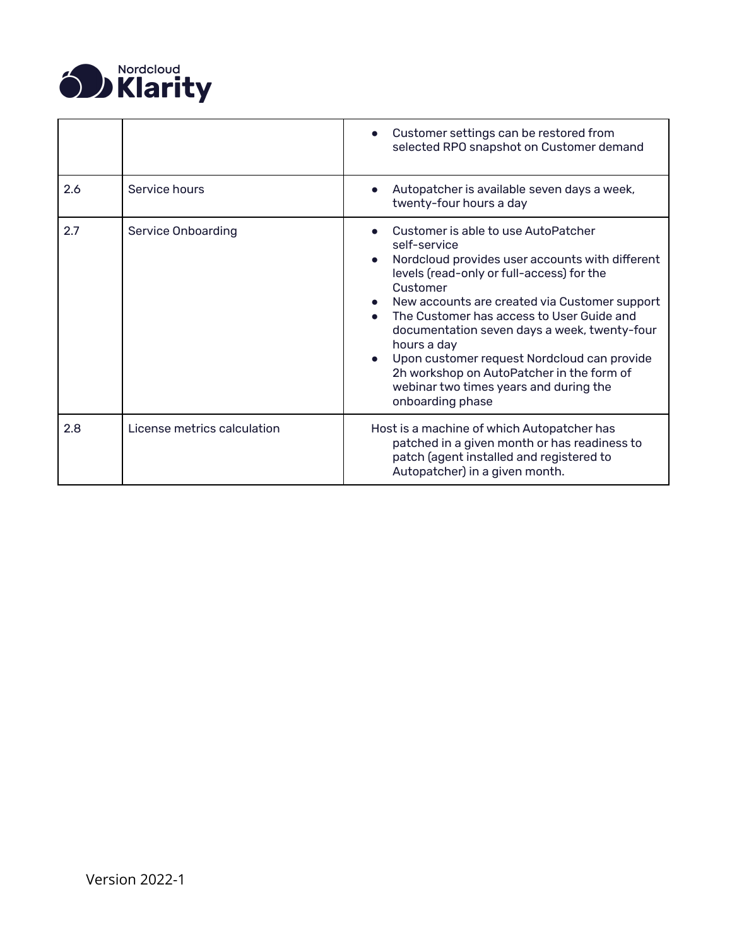

<span id="page-11-2"></span><span id="page-11-1"></span><span id="page-11-0"></span>

|     |                             | Customer settings can be restored from<br>selected RPO snapshot on Customer demand                                                                                                                                                                                                                                                                                                                                                                                                     |
|-----|-----------------------------|----------------------------------------------------------------------------------------------------------------------------------------------------------------------------------------------------------------------------------------------------------------------------------------------------------------------------------------------------------------------------------------------------------------------------------------------------------------------------------------|
| 2.6 | Service hours               | Autopatcher is available seven days a week,<br>twenty-four hours a day                                                                                                                                                                                                                                                                                                                                                                                                                 |
| 2.7 | <b>Service Onboarding</b>   | Customer is able to use AutoPatcher<br>self-service<br>Nordcloud provides user accounts with different<br>levels (read-only or full-access) for the<br>Customer<br>New accounts are created via Customer support<br>The Customer has access to User Guide and<br>documentation seven days a week, twenty-four<br>hours a day<br>Upon customer request Nordcloud can provide<br>2h workshop on AutoPatcher in the form of<br>webinar two times years and during the<br>onboarding phase |
| 2.8 | License metrics calculation | Host is a machine of which Autopatcher has<br>patched in a given month or has readiness to<br>patch (agent installed and registered to<br>Autopatcher) in a given month.                                                                                                                                                                                                                                                                                                               |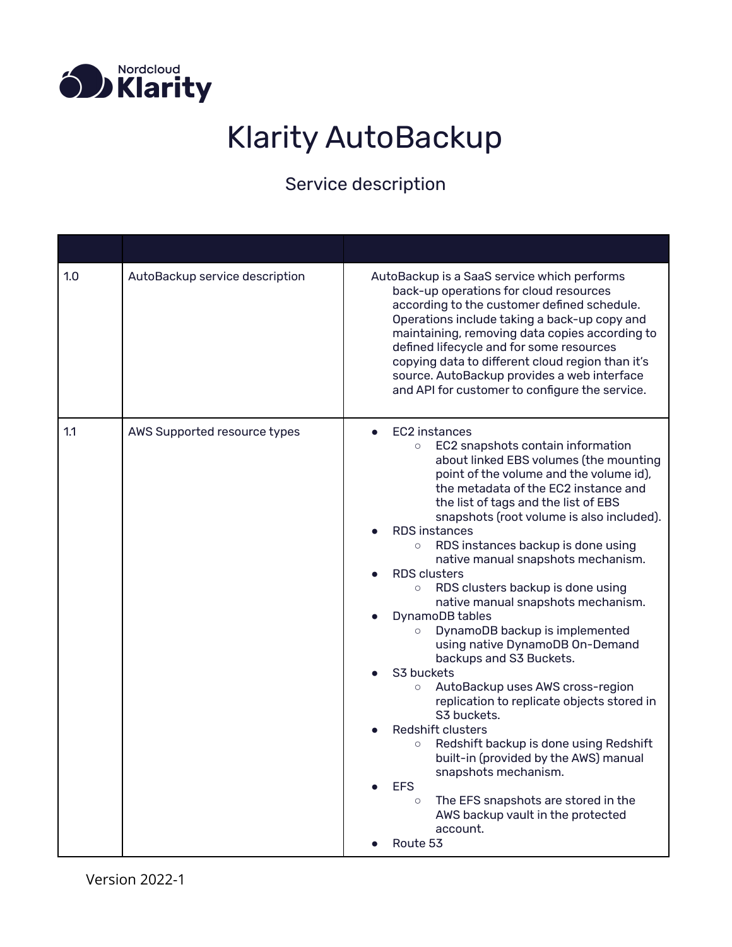<span id="page-12-0"></span>

# Klarity AutoBackup

<span id="page-12-2"></span><span id="page-12-1"></span>

| 1.0 | AutoBackup service description | AutoBackup is a SaaS service which performs<br>back-up operations for cloud resources<br>according to the customer defined schedule.<br>Operations include taking a back-up copy and<br>maintaining, removing data copies according to<br>defined lifecycle and for some resources<br>copying data to different cloud region than it's<br>source. AutoBackup provides a web interface<br>and API for customer to configure the service.                                                                                                                                                                                                                                                                                                                                                                                                                                                                                                                                                                                                                         |
|-----|--------------------------------|-----------------------------------------------------------------------------------------------------------------------------------------------------------------------------------------------------------------------------------------------------------------------------------------------------------------------------------------------------------------------------------------------------------------------------------------------------------------------------------------------------------------------------------------------------------------------------------------------------------------------------------------------------------------------------------------------------------------------------------------------------------------------------------------------------------------------------------------------------------------------------------------------------------------------------------------------------------------------------------------------------------------------------------------------------------------|
| 1.1 | AWS Supported resource types   | EC2 instances<br>$\bullet$<br>EC2 snapshots contain information<br>$\circ$<br>about linked EBS volumes (the mounting<br>point of the volume and the volume id),<br>the metadata of the EC2 instance and<br>the list of tags and the list of EBS<br>snapshots (root volume is also included).<br><b>RDS</b> instances<br>RDS instances backup is done using<br>$\circ$<br>native manual snapshots mechanism.<br><b>RDS</b> clusters<br>RDS clusters backup is done using<br>$\circ$<br>native manual snapshots mechanism.<br>DynamoDB tables<br>DynamoDB backup is implemented<br>$\circ$<br>using native DynamoDB On-Demand<br>backups and S3 Buckets.<br>S3 buckets<br>AutoBackup uses AWS cross-region<br>$\circ$<br>replication to replicate objects stored in<br>S3 buckets.<br><b>Redshift clusters</b><br>Redshift backup is done using Redshift<br>$\circ$<br>built-in (provided by the AWS) manual<br>snapshots mechanism.<br><b>EFS</b><br>The EFS snapshots are stored in the<br>$\circ$<br>AWS backup vault in the protected<br>account.<br>Route 53 |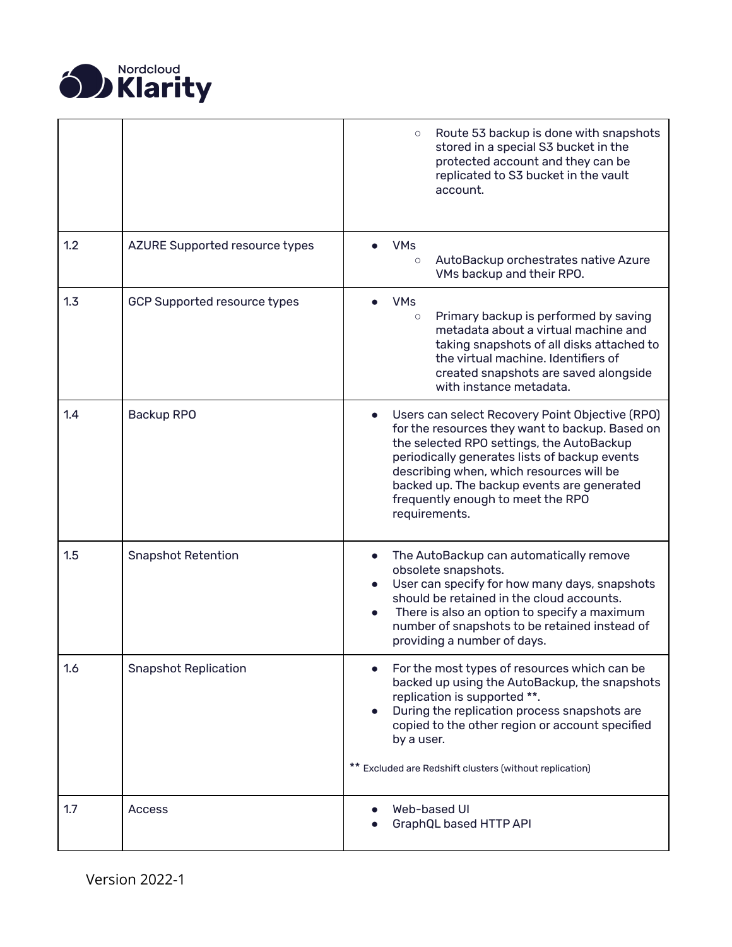

<span id="page-13-5"></span><span id="page-13-4"></span><span id="page-13-3"></span><span id="page-13-2"></span><span id="page-13-1"></span><span id="page-13-0"></span>

|     |                                       | Route 53 backup is done with snapshots<br>$\circ$<br>stored in a special S3 bucket in the<br>protected account and they can be<br>replicated to S3 bucket in the vault<br>account.                                                                                                                                                               |
|-----|---------------------------------------|--------------------------------------------------------------------------------------------------------------------------------------------------------------------------------------------------------------------------------------------------------------------------------------------------------------------------------------------------|
| 1.2 | <b>AZURE Supported resource types</b> | <b>VMs</b><br>AutoBackup orchestrates native Azure<br>$\circ$<br>VMs backup and their RPO.                                                                                                                                                                                                                                                       |
| 1.3 | GCP Supported resource types          | <b>VMs</b><br>Primary backup is performed by saving<br>$\circ$<br>metadata about a virtual machine and<br>taking snapshots of all disks attached to<br>the virtual machine. Identifiers of<br>created snapshots are saved alongside<br>with instance metadata.                                                                                   |
| 1.4 | Backup RPO                            | Users can select Recovery Point Objective (RPO)<br>for the resources they want to backup. Based on<br>the selected RPO settings, the AutoBackup<br>periodically generates lists of backup events<br>describing when, which resources will be<br>backed up. The backup events are generated<br>frequently enough to meet the RPO<br>requirements. |
| 1.5 | <b>Snapshot Retention</b>             | The AutoBackup can automatically remove<br>obsolete snapshots.<br>User can specify for how many days, snapshots<br>should be retained in the cloud accounts.<br>There is also an option to specify a maximum<br>number of snapshots to be retained instead of<br>providing a number of days.                                                     |
| 1.6 | <b>Snapshot Replication</b>           | For the most types of resources which can be<br>backed up using the AutoBackup, the snapshots<br>replication is supported **.<br>During the replication process snapshots are<br>copied to the other region or account specified<br>by a user.<br>** Excluded are Redshift clusters (without replication)                                        |
| 1.7 | <b>Access</b>                         | Web-based UI<br>GraphQL based HTTP API                                                                                                                                                                                                                                                                                                           |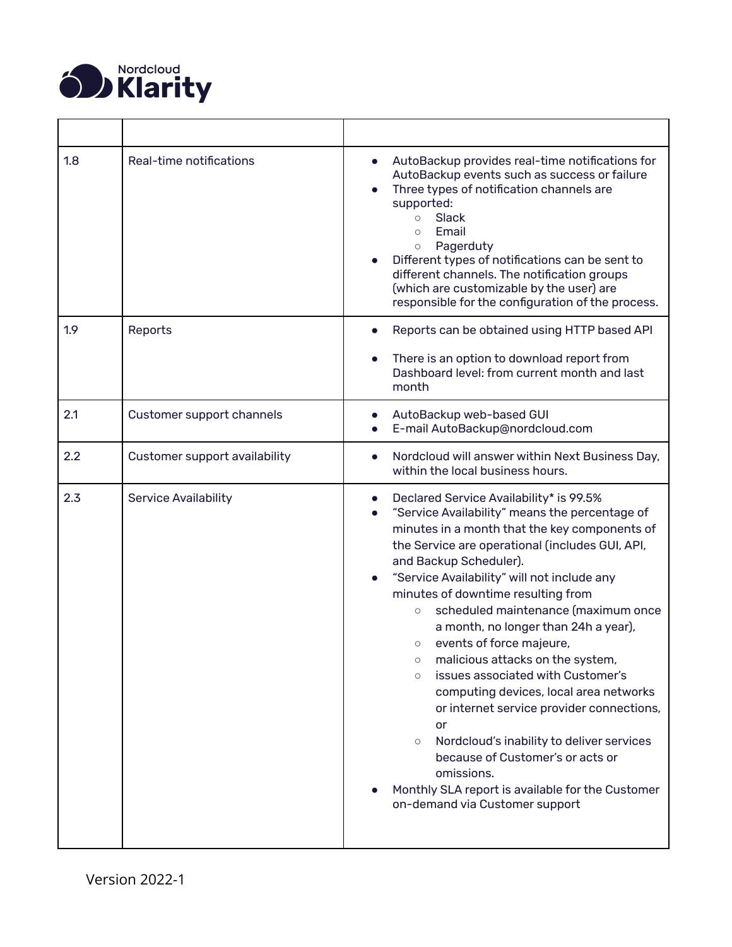

<span id="page-14-4"></span><span id="page-14-3"></span><span id="page-14-2"></span><span id="page-14-1"></span><span id="page-14-0"></span>

| 1.8 | Real-time notifications       | AutoBackup provides real-time notifications for<br>AutoBackup events such as success or failure<br>Three types of notification channels are<br>supported:<br>Slack<br>$\circ$<br>Email<br>$\circ$<br>Pagerduty<br>$\circ$<br>Different types of notifications can be sent to<br>different channels. The notification groups<br>(which are customizable by the user) are<br>responsible for the configuration of the process.                                                                                                                                                                                                                                                                                                                                                                                                              |
|-----|-------------------------------|-------------------------------------------------------------------------------------------------------------------------------------------------------------------------------------------------------------------------------------------------------------------------------------------------------------------------------------------------------------------------------------------------------------------------------------------------------------------------------------------------------------------------------------------------------------------------------------------------------------------------------------------------------------------------------------------------------------------------------------------------------------------------------------------------------------------------------------------|
| 1.9 | Reports                       | Reports can be obtained using HTTP based API<br>There is an option to download report from<br>Dashboard level: from current month and last<br>month                                                                                                                                                                                                                                                                                                                                                                                                                                                                                                                                                                                                                                                                                       |
| 2.1 | Customer support channels     | AutoBackup web-based GUI<br>E-mail AutoBackup@nordcloud.com                                                                                                                                                                                                                                                                                                                                                                                                                                                                                                                                                                                                                                                                                                                                                                               |
| 2.2 | Customer support availability | Nordcloud will answer within Next Business Day,<br>within the local business hours.                                                                                                                                                                                                                                                                                                                                                                                                                                                                                                                                                                                                                                                                                                                                                       |
| 2.3 | <b>Service Availability</b>   | Declared Service Availability* is 99.5%<br>"Service Availability" means the percentage of<br>minutes in a month that the key components of<br>the Service are operational (includes GUI, API,<br>and Backup Scheduler).<br>"Service Availability" will not include any<br>minutes of downtime resulting from<br>scheduled maintenance (maximum once<br>$\circ$<br>a month, no longer than 24h a year),<br>events of force majeure,<br>$\circ$<br>malicious attacks on the system,<br>$\circ$<br>issues associated with Customer's<br>$\circ$<br>computing devices, local area networks<br>or internet service provider connections,<br>or<br>Nordcloud's inability to deliver services<br>$\circ$<br>because of Customer's or acts or<br>omissions.<br>Monthly SLA report is available for the Customer<br>on-demand via Customer support |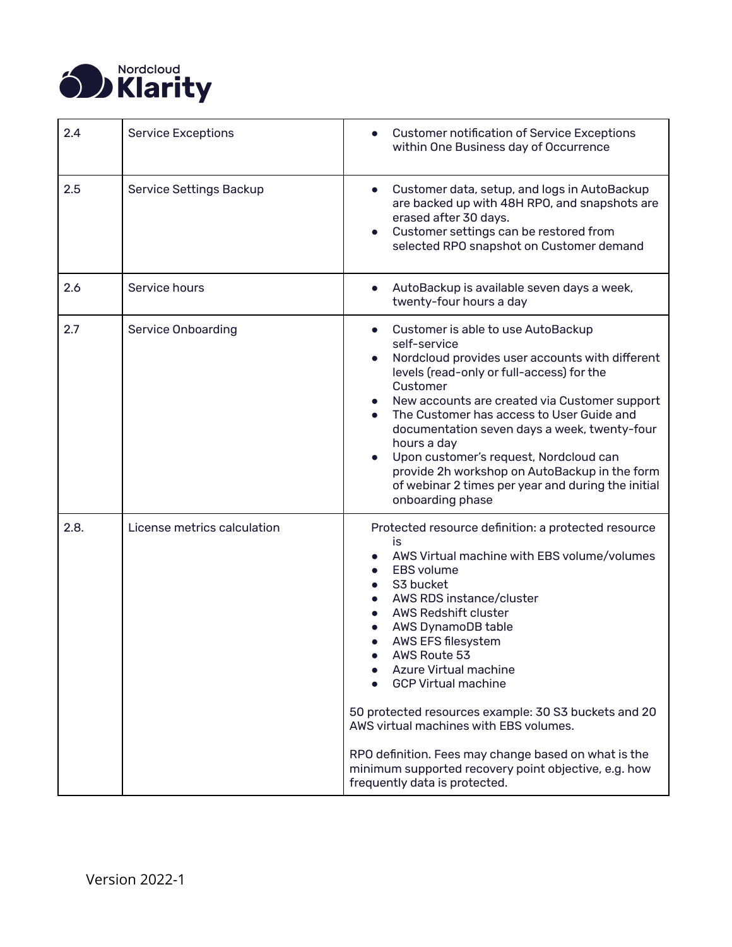

<span id="page-15-4"></span><span id="page-15-3"></span><span id="page-15-2"></span><span id="page-15-1"></span><span id="page-15-0"></span>

| 2.4  | <b>Service Exceptions</b>   | <b>Customer notification of Service Exceptions</b><br>within One Business day of Occurrence                                                                                                                                                                                                                                                                                                                                                                                                                                                                                 |
|------|-----------------------------|-----------------------------------------------------------------------------------------------------------------------------------------------------------------------------------------------------------------------------------------------------------------------------------------------------------------------------------------------------------------------------------------------------------------------------------------------------------------------------------------------------------------------------------------------------------------------------|
| 2.5  | Service Settings Backup     | Customer data, setup, and logs in AutoBackup<br>$\bullet$<br>are backed up with 48H RPO, and snapshots are<br>erased after 30 days.<br>Customer settings can be restored from<br>selected RPO snapshot on Customer demand                                                                                                                                                                                                                                                                                                                                                   |
| 2.6  | Service hours               | AutoBackup is available seven days a week,<br>$\bullet$<br>twenty-four hours a day                                                                                                                                                                                                                                                                                                                                                                                                                                                                                          |
| 2.7  | <b>Service Onboarding</b>   | Customer is able to use AutoBackup<br>self-service<br>Nordcloud provides user accounts with different<br>levels (read-only or full-access) for the<br>Customer<br>New accounts are created via Customer support<br>The Customer has access to User Guide and<br>documentation seven days a week, twenty-four<br>hours a day<br>Upon customer's request, Nordcloud can<br>provide 2h workshop on AutoBackup in the form<br>of webinar 2 times per year and during the initial<br>onboarding phase                                                                            |
| 2.8. | License metrics calculation | Protected resource definition: a protected resource<br>is<br>AWS Virtual machine with EBS volume/volumes<br><b>EBS</b> volume<br>S3 bucket<br>AWS RDS instance/cluster<br><b>AWS Redshift cluster</b><br>AWS DynamoDB table<br>AWS EFS filesystem<br>AWS Route 53<br>Azure Virtual machine<br><b>GCP Virtual machine</b><br>50 protected resources example: 30 S3 buckets and 20<br>AWS virtual machines with EBS volumes.<br>RPO definition. Fees may change based on what is the<br>minimum supported recovery point objective, e.g. how<br>frequently data is protected. |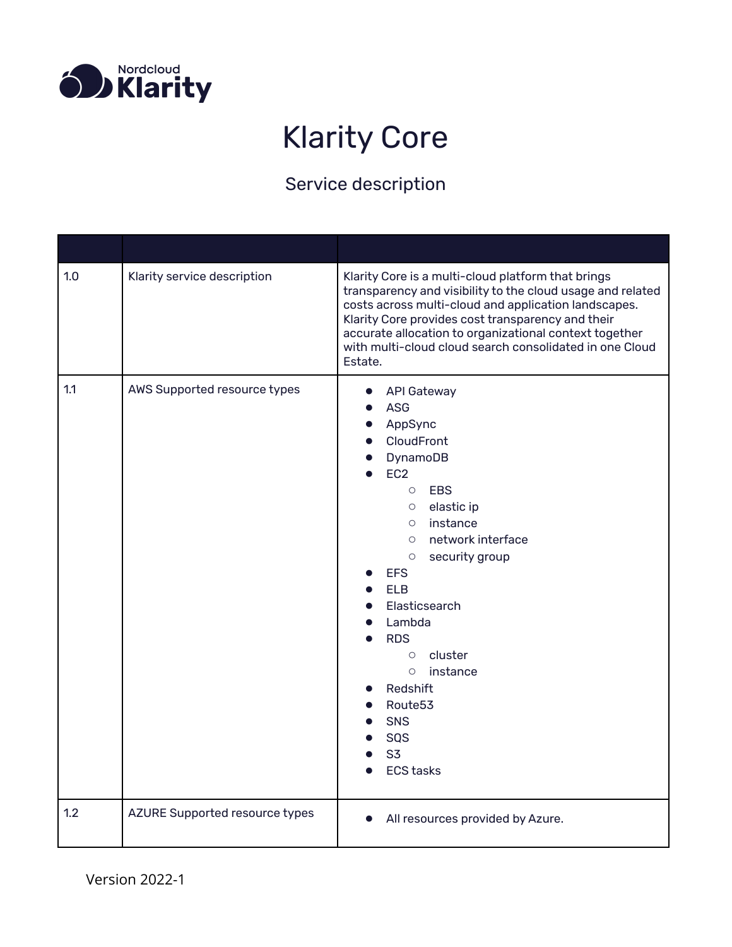<span id="page-16-0"></span>

### Klarity Core

<span id="page-16-3"></span><span id="page-16-2"></span><span id="page-16-1"></span>

| 1.0 | Klarity service description    | Klarity Core is a multi-cloud platform that brings<br>transparency and visibility to the cloud usage and related<br>costs across multi-cloud and application landscapes.<br>Klarity Core provides cost transparency and their<br>accurate allocation to organizational context together<br>with multi-cloud cloud search consolidated in one Cloud<br>Estate.                                                            |
|-----|--------------------------------|--------------------------------------------------------------------------------------------------------------------------------------------------------------------------------------------------------------------------------------------------------------------------------------------------------------------------------------------------------------------------------------------------------------------------|
| 1.1 | AWS Supported resource types   | <b>API Gateway</b><br><b>ASG</b><br>AppSync<br>CloudFront<br>DynamoDB<br>EC <sub>2</sub><br>O EBS<br>$\circ$ elastic ip<br>instance<br>$\circ$<br>network interface<br>$\circ$<br>security group<br>$\circ$<br><b>EFS</b><br><b>ELB</b><br>Elasticsearch<br>Lambda<br><b>RDS</b><br>$\circ$ cluster<br>instance<br>$\circ$<br>Redshift<br>Route <sub>53</sub><br><b>SNS</b><br>SQS<br>S <sub>3</sub><br><b>ECS tasks</b> |
| 1.2 | AZURE Supported resource types | All resources provided by Azure.                                                                                                                                                                                                                                                                                                                                                                                         |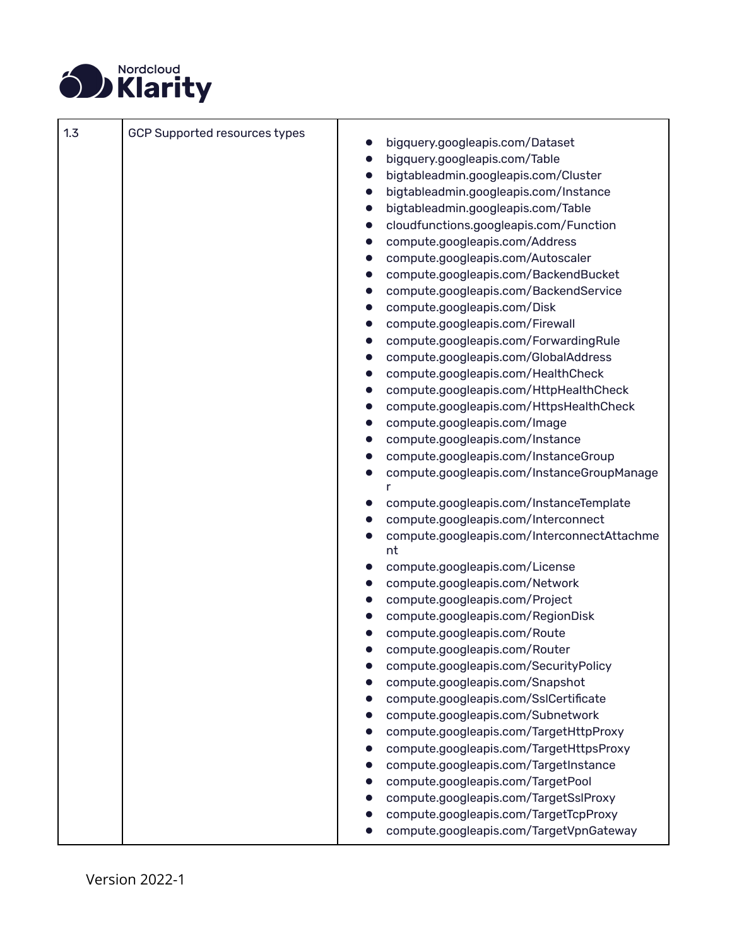

<span id="page-17-0"></span>

| 1.3 | <b>GCP Supported resources types</b> |                                                         |
|-----|--------------------------------------|---------------------------------------------------------|
|     |                                      | bigquery.googleapis.com/Dataset                         |
|     |                                      | bigquery.googleapis.com/Table                           |
|     |                                      | bigtableadmin.googleapis.com/Cluster                    |
|     |                                      | bigtableadmin.googleapis.com/Instance<br>$\bullet$      |
|     |                                      | bigtableadmin.googleapis.com/Table                      |
|     |                                      | cloudfunctions.googleapis.com/Function                  |
|     |                                      | compute.googleapis.com/Address                          |
|     |                                      | compute.googleapis.com/Autoscaler                       |
|     |                                      | compute.googleapis.com/BackendBucket                    |
|     |                                      | compute.googleapis.com/BackendService<br>$\bullet$      |
|     |                                      | compute.googleapis.com/Disk<br>$\bullet$                |
|     |                                      | compute.googleapis.com/Firewall                         |
|     |                                      | compute.googleapis.com/ForwardingRule                   |
|     |                                      | compute.googleapis.com/GlobalAddress                    |
|     |                                      | compute.googleapis.com/HealthCheck                      |
|     |                                      | compute.googleapis.com/HttpHealthCheck                  |
|     |                                      | compute.googleapis.com/HttpsHealthCheck<br>$\bullet$    |
|     |                                      | compute.googleapis.com/Image                            |
|     |                                      | compute.googleapis.com/Instance                         |
|     |                                      | compute.googleapis.com/InstanceGroup                    |
|     |                                      | compute.googleapis.com/InstanceGroupManage<br>$\bullet$ |
|     |                                      | compute.googleapis.com/InstanceTemplate                 |
|     |                                      | compute.googleapis.com/Interconnect                     |
|     |                                      | compute.googleapis.com/InterconnectAttachme<br>nt       |
|     |                                      | compute.googleapis.com/License                          |
|     |                                      | compute.googleapis.com/Network                          |
|     |                                      | compute.googleapis.com/Project                          |
|     |                                      | compute.googleapis.com/RegionDisk                       |
|     |                                      | compute.googleapis.com/Route                            |
|     |                                      | compute.googleapis.com/Router                           |
|     |                                      | compute.googleapis.com/SecurityPolicy                   |
|     |                                      | compute.googleapis.com/Snapshot                         |
|     |                                      | compute.googleapis.com/SslCertificate                   |
|     |                                      | compute.googleapis.com/Subnetwork                       |
|     |                                      | compute.googleapis.com/TargetHttpProxy                  |
|     |                                      | compute.googleapis.com/TargetHttpsProxy                 |
|     |                                      | compute.googleapis.com/TargetInstance                   |
|     |                                      | compute.googleapis.com/TargetPool                       |
|     |                                      | compute.googleapis.com/TargetSslProxy                   |
|     |                                      | compute.googleapis.com/TargetTcpProxy                   |
|     |                                      | compute.googleapis.com/TargetVpnGateway                 |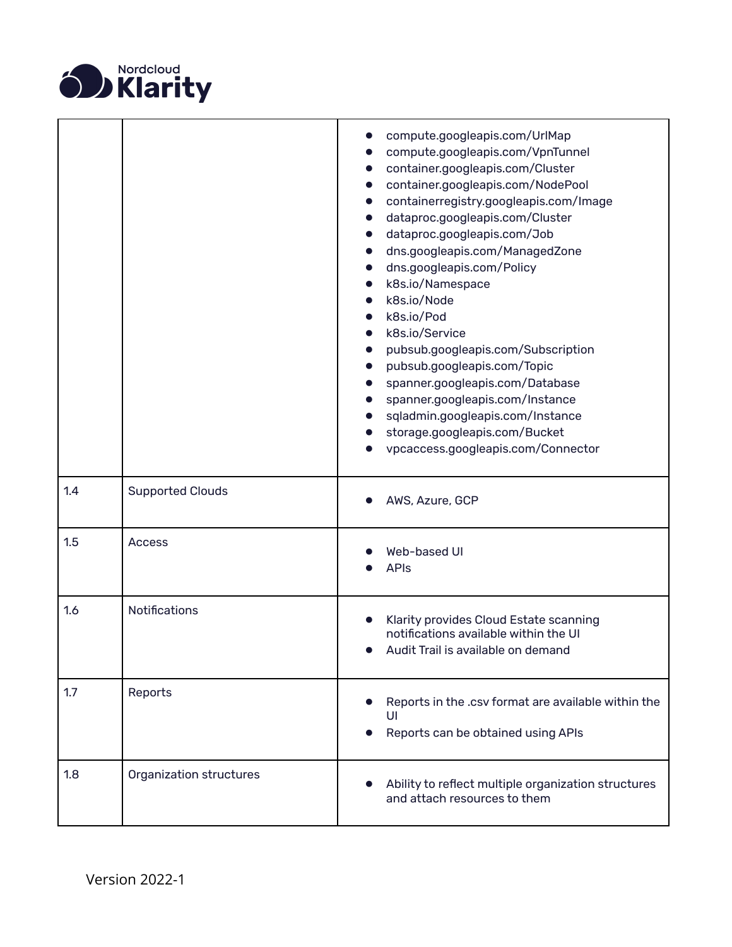

<span id="page-18-4"></span><span id="page-18-3"></span><span id="page-18-2"></span><span id="page-18-1"></span><span id="page-18-0"></span>

|     |                         | compute.googleapis.com/UrlMap<br>compute.googleapis.com/VpnTunnel<br>container.googleapis.com/Cluster<br>container.googleapis.com/NodePool<br>containerregistry.googleapis.com/Image<br>dataproc.googleapis.com/Cluster<br>dataproc.googleapis.com/Job<br>dns.googleapis.com/ManagedZone<br>dns.googleapis.com/Policy<br>k8s.io/Namespace<br>k8s.io/Node<br>k8s.io/Pod<br>k8s.io/Service<br>pubsub.googleapis.com/Subscription<br>pubsub.googleapis.com/Topic<br>spanner.googleapis.com/Database<br>spanner.googleapis.com/Instance<br>sqladmin.googleapis.com/Instance<br>storage.googleapis.com/Bucket<br>vpcaccess.googleapis.com/Connector |
|-----|-------------------------|------------------------------------------------------------------------------------------------------------------------------------------------------------------------------------------------------------------------------------------------------------------------------------------------------------------------------------------------------------------------------------------------------------------------------------------------------------------------------------------------------------------------------------------------------------------------------------------------------------------------------------------------|
| 1.4 | <b>Supported Clouds</b> | AWS, Azure, GCP                                                                                                                                                                                                                                                                                                                                                                                                                                                                                                                                                                                                                                |
| 1.5 | <b>Access</b>           | Web-based UI<br><b>APIs</b>                                                                                                                                                                                                                                                                                                                                                                                                                                                                                                                                                                                                                    |
| 1.6 | Notifications           | Klarity provides Cloud Estate scanning<br>notifications available within the UI<br>Audit Trail is available on demand                                                                                                                                                                                                                                                                                                                                                                                                                                                                                                                          |
| 1.7 | Reports                 | Reports in the .csv format are available within the<br>UI<br>Reports can be obtained using APIs                                                                                                                                                                                                                                                                                                                                                                                                                                                                                                                                                |
| 1.8 | Organization structures | Ability to reflect multiple organization structures<br>and attach resources to them                                                                                                                                                                                                                                                                                                                                                                                                                                                                                                                                                            |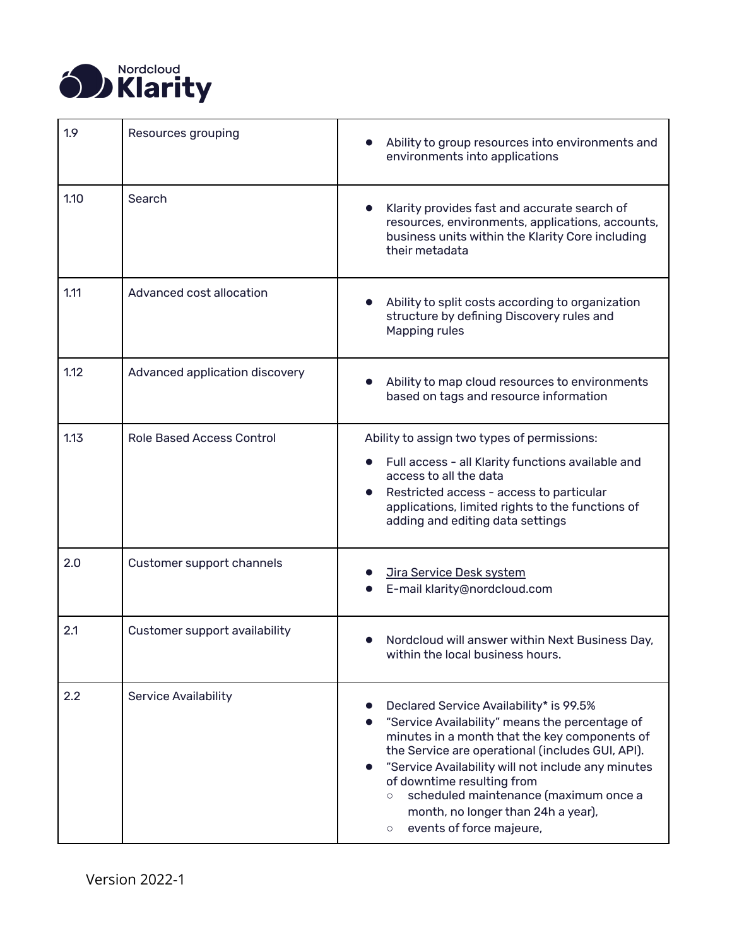

<span id="page-19-7"></span><span id="page-19-6"></span><span id="page-19-5"></span><span id="page-19-4"></span><span id="page-19-3"></span><span id="page-19-2"></span><span id="page-19-1"></span><span id="page-19-0"></span>

| 1.9  | Resources grouping               | Ability to group resources into environments and<br>environments into applications                                                                                                                                                                                                                                                                                                                                  |
|------|----------------------------------|---------------------------------------------------------------------------------------------------------------------------------------------------------------------------------------------------------------------------------------------------------------------------------------------------------------------------------------------------------------------------------------------------------------------|
| 1.10 | Search                           | Klarity provides fast and accurate search of<br>$\bullet$<br>resources, environments, applications, accounts,<br>business units within the Klarity Core including<br>their metadata                                                                                                                                                                                                                                 |
| 1.11 | Advanced cost allocation         | Ability to split costs according to organization<br>structure by defining Discovery rules and<br>Mapping rules                                                                                                                                                                                                                                                                                                      |
| 1.12 | Advanced application discovery   | Ability to map cloud resources to environments<br>based on tags and resource information                                                                                                                                                                                                                                                                                                                            |
| 1.13 | <b>Role Based Access Control</b> | Ability to assign two types of permissions:<br>Full access - all Klarity functions available and<br>access to all the data<br>Restricted access - access to particular<br>applications, limited rights to the functions of<br>adding and editing data settings                                                                                                                                                      |
| 2.0  | Customer support channels        | <b>Jira Service Desk system</b><br>E-mail klarity@nordcloud.com                                                                                                                                                                                                                                                                                                                                                     |
| 2.1  | Customer support availability    | Nordcloud will answer within Next Business Day,<br>within the local business hours.                                                                                                                                                                                                                                                                                                                                 |
| 2.2  | <b>Service Availability</b>      | Declared Service Availability* is 99.5%<br>"Service Availability" means the percentage of<br>minutes in a month that the key components of<br>the Service are operational (includes GUI, API).<br>"Service Availability will not include any minutes<br>of downtime resulting from<br>scheduled maintenance (maximum once a<br>$\circ$<br>month, no longer than 24h a year),<br>events of force majeure,<br>$\circ$ |